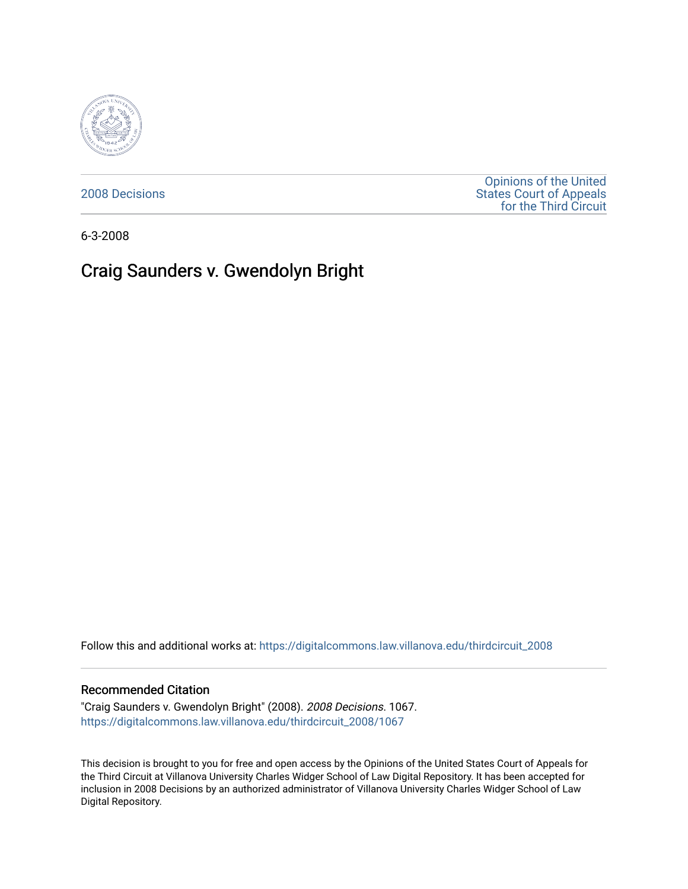

[2008 Decisions](https://digitalcommons.law.villanova.edu/thirdcircuit_2008)

[Opinions of the United](https://digitalcommons.law.villanova.edu/thirdcircuit)  [States Court of Appeals](https://digitalcommons.law.villanova.edu/thirdcircuit)  [for the Third Circuit](https://digitalcommons.law.villanova.edu/thirdcircuit) 

6-3-2008

# Craig Saunders v. Gwendolyn Bright

Follow this and additional works at: [https://digitalcommons.law.villanova.edu/thirdcircuit\\_2008](https://digitalcommons.law.villanova.edu/thirdcircuit_2008?utm_source=digitalcommons.law.villanova.edu%2Fthirdcircuit_2008%2F1067&utm_medium=PDF&utm_campaign=PDFCoverPages) 

### Recommended Citation

"Craig Saunders v. Gwendolyn Bright" (2008). 2008 Decisions. 1067. [https://digitalcommons.law.villanova.edu/thirdcircuit\\_2008/1067](https://digitalcommons.law.villanova.edu/thirdcircuit_2008/1067?utm_source=digitalcommons.law.villanova.edu%2Fthirdcircuit_2008%2F1067&utm_medium=PDF&utm_campaign=PDFCoverPages) 

This decision is brought to you for free and open access by the Opinions of the United States Court of Appeals for the Third Circuit at Villanova University Charles Widger School of Law Digital Repository. It has been accepted for inclusion in 2008 Decisions by an authorized administrator of Villanova University Charles Widger School of Law Digital Repository.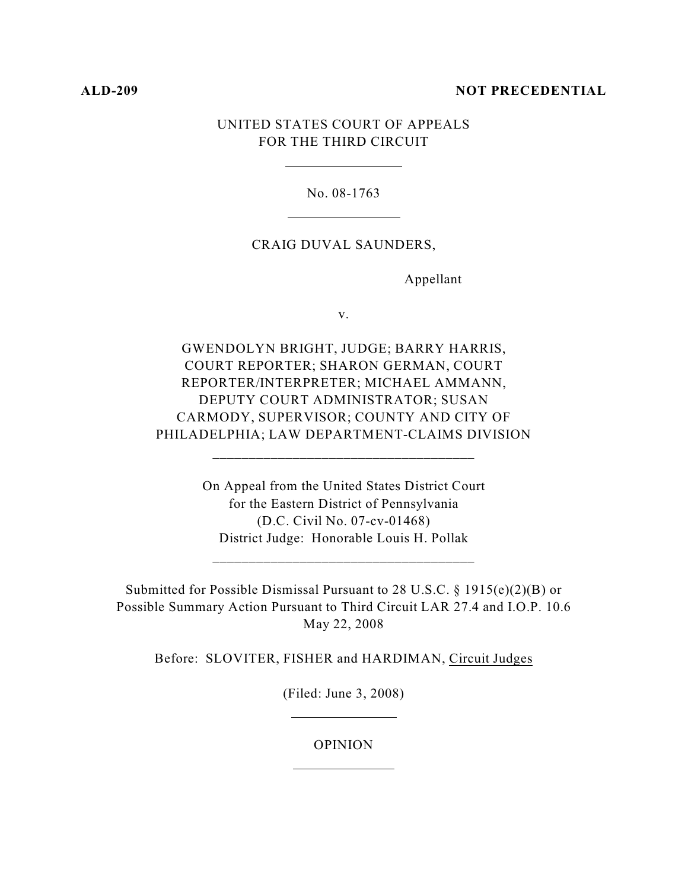## **ALD-209 NOT PRECEDENTIAL**

## UNITED STATES COURT OF APPEALS FOR THE THIRD CIRCUIT

No. 08-1763

## CRAIG DUVAL SAUNDERS,

Appellant

v.

GWENDOLYN BRIGHT, JUDGE; BARRY HARRIS, COURT REPORTER; SHARON GERMAN, COURT REPORTER/INTERPRETER; MICHAEL AMMANN, DEPUTY COURT ADMINISTRATOR; SUSAN CARMODY, SUPERVISOR; COUNTY AND CITY OF PHILADELPHIA; LAW DEPARTMENT-CLAIMS DIVISION

\_\_\_\_\_\_\_\_\_\_\_\_\_\_\_\_\_\_\_\_\_\_\_\_\_\_\_\_\_\_\_\_\_\_\_\_

On Appeal from the United States District Court for the Eastern District of Pennsylvania (D.C. Civil No. 07-cv-01468) District Judge: Honorable Louis H. Pollak

\_\_\_\_\_\_\_\_\_\_\_\_\_\_\_\_\_\_\_\_\_\_\_\_\_\_\_\_\_\_\_\_\_\_\_\_

Submitted for Possible Dismissal Pursuant to 28 U.S.C. § 1915(e)(2)(B) or Possible Summary Action Pursuant to Third Circuit LAR 27.4 and I.O.P. 10.6 May 22, 2008

Before: SLOVITER, FISHER and HARDIMAN, Circuit Judges

(Filed: June 3, 2008)

OPINION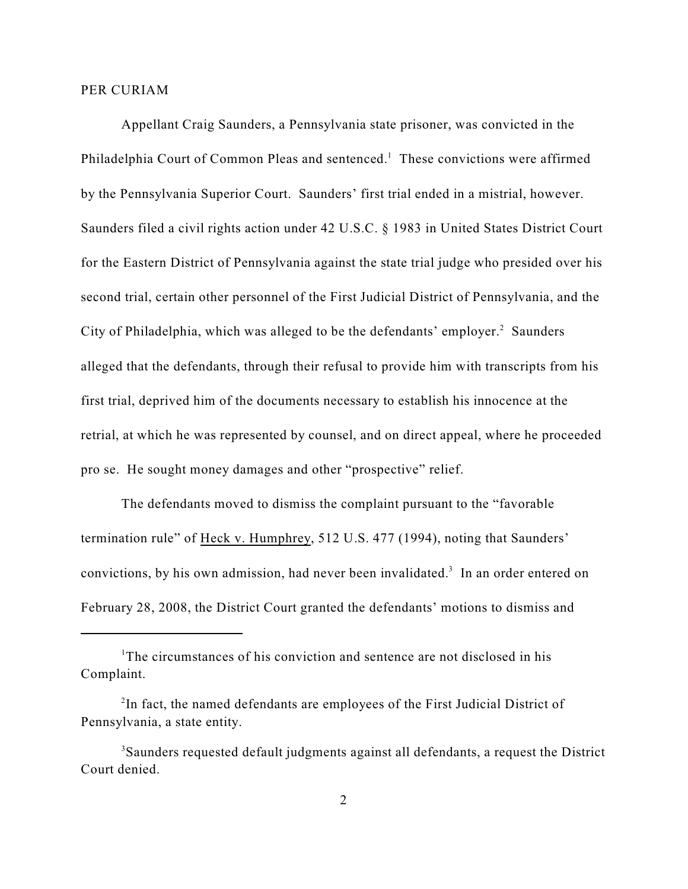### PER CURIAM

Appellant Craig Saunders, a Pennsylvania state prisoner, was convicted in the Philadelphia Court of Common Pleas and sentenced.<sup>1</sup> These convictions were affirmed by the Pennsylvania Superior Court. Saunders' first trial ended in a mistrial, however. Saunders filed a civil rights action under 42 U.S.C. § 1983 in United States District Court for the Eastern District of Pennsylvania against the state trial judge who presided over his second trial, certain other personnel of the First Judicial District of Pennsylvania, and the City of Philadelphia, which was alleged to be the defendants' employer.<sup>2</sup> Saunders alleged that the defendants, through their refusal to provide him with transcripts from his first trial, deprived him of the documents necessary to establish his innocence at the retrial, at which he was represented by counsel, and on direct appeal, where he proceeded pro se. He sought money damages and other "prospective" relief.

The defendants moved to dismiss the complaint pursuant to the "favorable termination rule" of Heck v. Humphrey, 512 U.S. 477 (1994), noting that Saunders' convictions, by his own admission, had never been invalidated.<sup>3</sup> In an order entered on February 28, 2008, the District Court granted the defendants' motions to dismiss and

<sup>&</sup>lt;sup>1</sup>The circumstances of his conviction and sentence are not disclosed in his Complaint.

 $2$ In fact, the named defendants are employees of the First Judicial District of Pennsylvania, a state entity.

<sup>&</sup>lt;sup>3</sup>Saunders requested default judgments against all defendants, a request the District Court denied.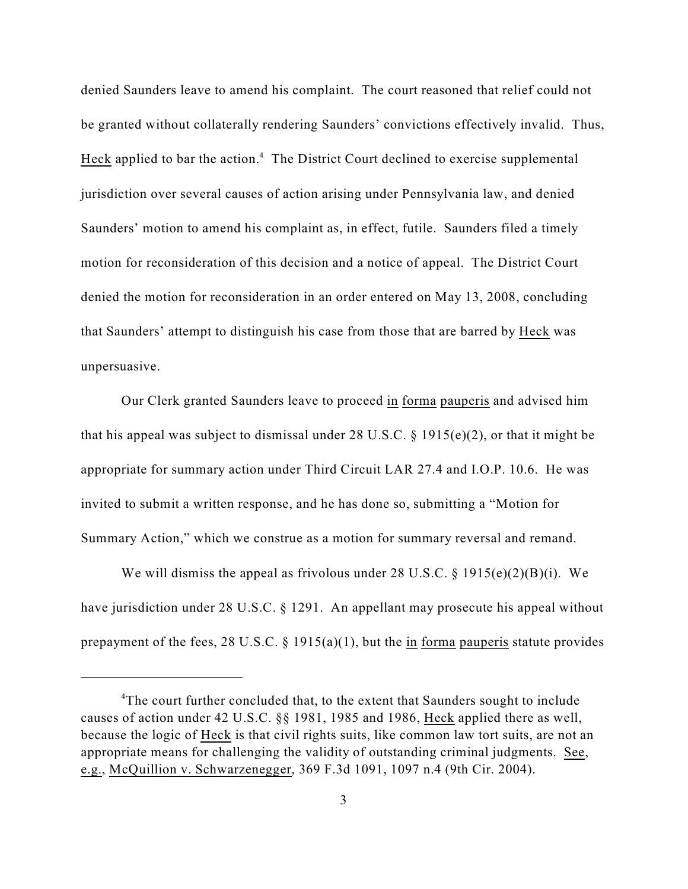denied Saunders leave to amend his complaint. The court reasoned that relief could not be granted without collaterally rendering Saunders' convictions effectively invalid. Thus, Heck applied to bar the action.<sup>4</sup> The District Court declined to exercise supplemental jurisdiction over several causes of action arising under Pennsylvania law, and denied Saunders' motion to amend his complaint as, in effect, futile. Saunders filed a timely motion for reconsideration of this decision and a notice of appeal. The District Court denied the motion for reconsideration in an order entered on May 13, 2008, concluding that Saunders' attempt to distinguish his case from those that are barred by Heck was unpersuasive.

Our Clerk granted Saunders leave to proceed in forma pauperis and advised him that his appeal was subject to dismissal under 28 U.S.C.  $\S$  1915(e)(2), or that it might be appropriate for summary action under Third Circuit LAR 27.4 and I.O.P. 10.6. He was invited to submit a written response, and he has done so, submitting a "Motion for Summary Action," which we construe as a motion for summary reversal and remand.

We will dismiss the appeal as frivolous under 28 U.S.C. § 1915(e)(2)(B)(i). We have jurisdiction under 28 U.S.C. § 1291. An appellant may prosecute his appeal without prepayment of the fees, 28 U.S.C. § 1915(a)(1), but the in forma pauperis statute provides

<sup>&</sup>lt;sup>4</sup>The court further concluded that, to the extent that Saunders sought to include causes of action under 42 U.S.C. §§ 1981, 1985 and 1986, Heck applied there as well, because the logic of Heck is that civil rights suits, like common law tort suits, are not an appropriate means for challenging the validity of outstanding criminal judgments. See, e.g., McQuillion v. Schwarzenegger, 369 F.3d 1091, 1097 n.4 (9th Cir. 2004).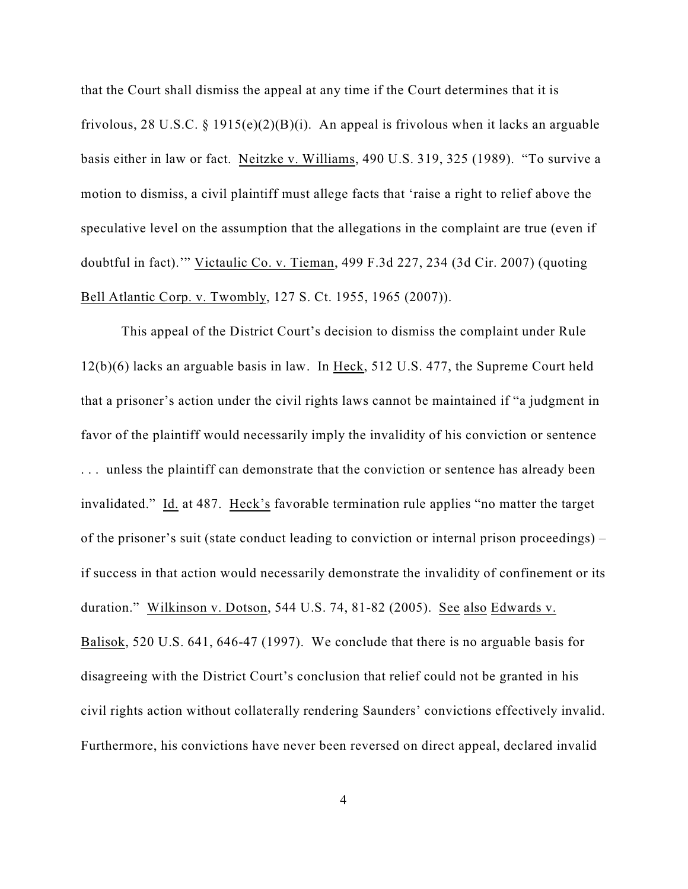that the Court shall dismiss the appeal at any time if the Court determines that it is frivolous, 28 U.S.C. § 1915(e)(2)(B)(i). An appeal is frivolous when it lacks an arguable basis either in law or fact. Neitzke v. Williams, 490 U.S. 319, 325 (1989). "To survive a motion to dismiss, a civil plaintiff must allege facts that 'raise a right to relief above the speculative level on the assumption that the allegations in the complaint are true (even if doubtful in fact).'" Victaulic Co. v. Tieman, 499 F.3d 227, 234 (3d Cir. 2007) (quoting Bell Atlantic Corp. v. Twombly, 127 S. Ct. 1955, 1965 (2007)).

This appeal of the District Court's decision to dismiss the complaint under Rule 12(b)(6) lacks an arguable basis in law. In Heck, 512 U.S. 477, the Supreme Court held that a prisoner's action under the civil rights laws cannot be maintained if "a judgment in favor of the plaintiff would necessarily imply the invalidity of his conviction or sentence . . . unless the plaintiff can demonstrate that the conviction or sentence has already been invalidated." Id. at 487. Heck's favorable termination rule applies "no matter the target of the prisoner's suit (state conduct leading to conviction or internal prison proceedings) – if success in that action would necessarily demonstrate the invalidity of confinement or its duration." Wilkinson v. Dotson, 544 U.S. 74, 81-82 (2005). See also Edwards v. Balisok, 520 U.S. 641, 646-47 (1997). We conclude that there is no arguable basis for disagreeing with the District Court's conclusion that relief could not be granted in his civil rights action without collaterally rendering Saunders' convictions effectively invalid. Furthermore, his convictions have never been reversed on direct appeal, declared invalid